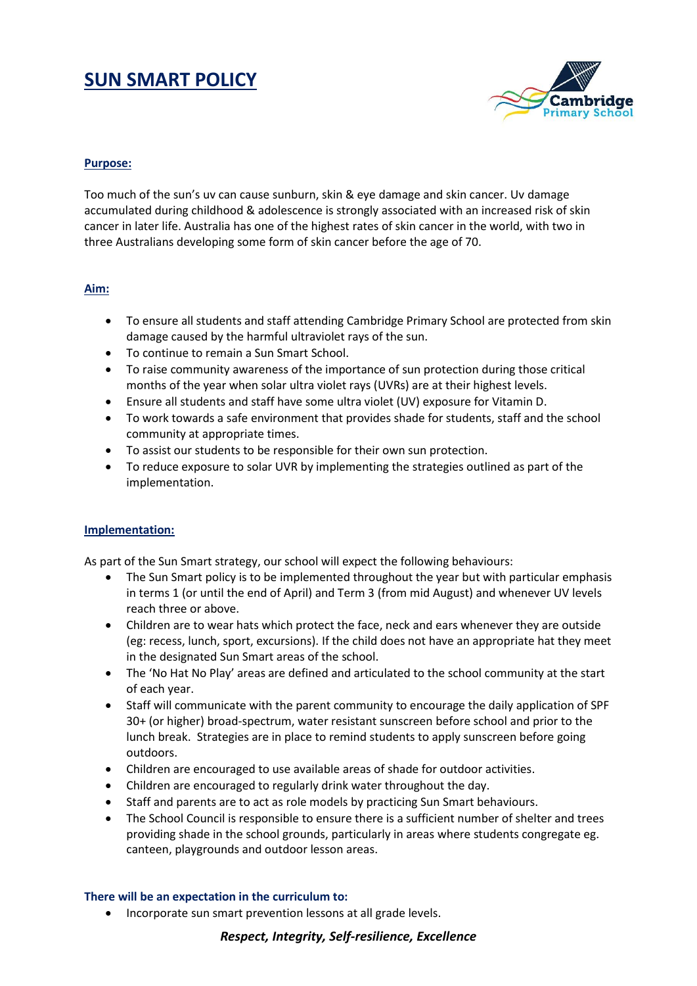# **SUN SMART POLICY**



#### **Purpose:**

Too much of the sun's uv can cause sunburn, skin & eye damage and skin cancer. Uv damage accumulated during childhood & adolescence is strongly associated with an increased risk of skin cancer in later life. Australia has one of the highest rates of skin cancer in the world, with two in three Australians developing some form of skin cancer before the age of 70.

## **Aim:**

- To ensure all students and staff attending Cambridge Primary School are protected from skin damage caused by the harmful ultraviolet rays of the sun.
- To continue to remain a Sun Smart School.
- To raise community awareness of the importance of sun protection during those critical months of the year when solar ultra violet rays (UVRs) are at their highest levels.
- Ensure all students and staff have some ultra violet (UV) exposure for Vitamin D.
- To work towards a safe environment that provides shade for students, staff and the school community at appropriate times.
- To assist our students to be responsible for their own sun protection.
- To reduce exposure to solar UVR by implementing the strategies outlined as part of the implementation.

#### **Implementation:**

As part of the Sun Smart strategy, our school will expect the following behaviours:

- The Sun Smart policy is to be implemented throughout the year but with particular emphasis in terms 1 (or until the end of April) and Term 3 (from mid August) and whenever UV levels reach three or above.
- Children are to wear hats which protect the face, neck and ears whenever they are outside (eg: recess, lunch, sport, excursions). If the child does not have an appropriate hat they meet in the designated Sun Smart areas of the school.
- The 'No Hat No Play' areas are defined and articulated to the school community at the start of each year.
- Staff will communicate with the parent community to encourage the daily application of SPF 30+ (or higher) broad-spectrum, water resistant sunscreen before school and prior to the lunch break. Strategies are in place to remind students to apply sunscreen before going outdoors.
- Children are encouraged to use available areas of shade for outdoor activities.
- Children are encouraged to regularly drink water throughout the day.
- Staff and parents are to act as role models by practicing Sun Smart behaviours.
- The School Council is responsible to ensure there is a sufficient number of shelter and trees providing shade in the school grounds, particularly in areas where students congregate eg. canteen, playgrounds and outdoor lesson areas.

#### **There will be an expectation in the curriculum to:**

Incorporate sun smart prevention lessons at all grade levels.